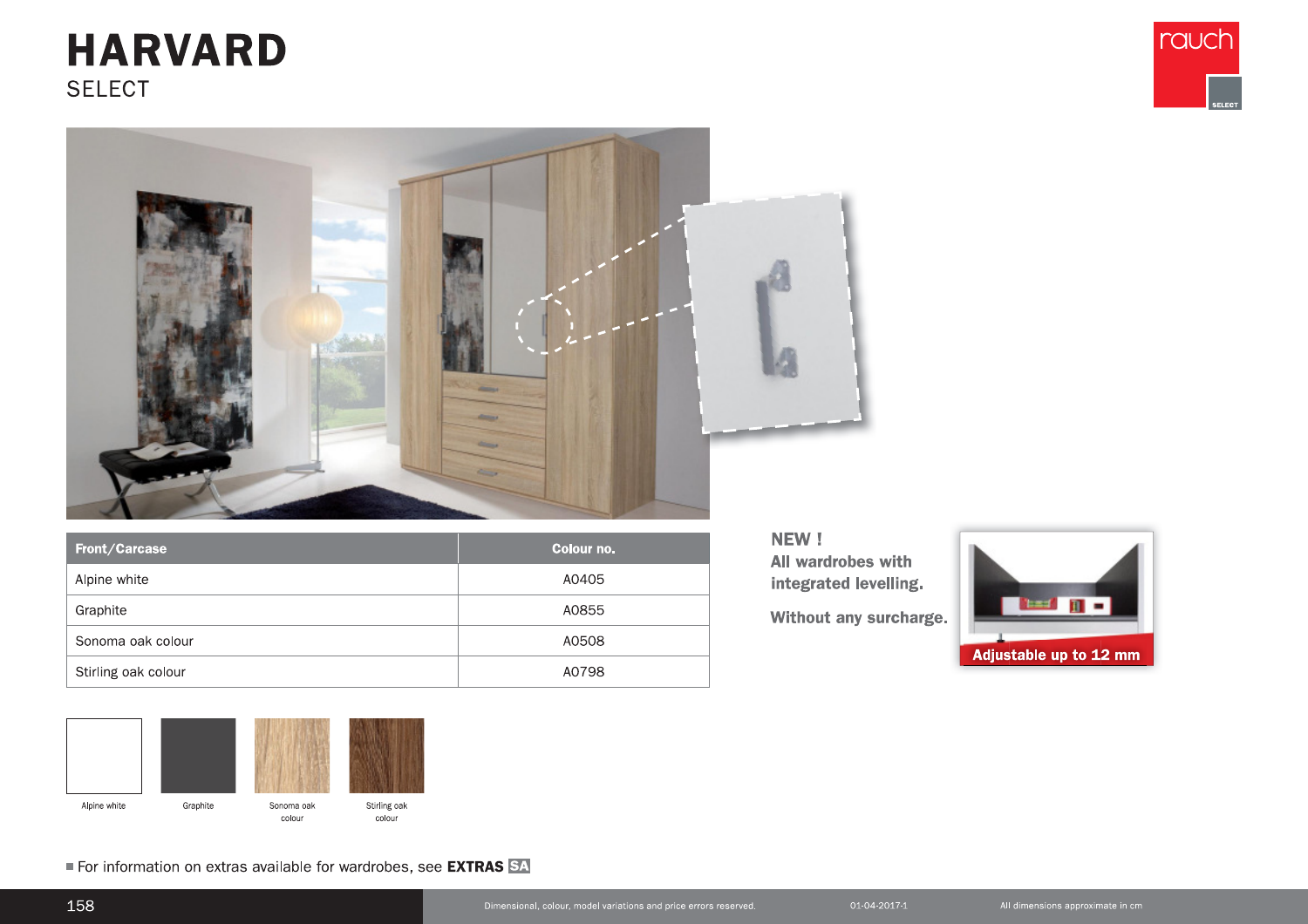## **HARVARD SELECT**





| Front/Carcase       | Colour no. |
|---------------------|------------|
| Alpine white        | A0405      |
| Graphite            | A0855      |
| Sonoma oak colour   | A0508      |
| Stirling oak colour | A0798      |



For information on extras available for wardrobes, see EXTRAS SA

NEW! All wardrobes with integrated levelling.

Without any surcharge.

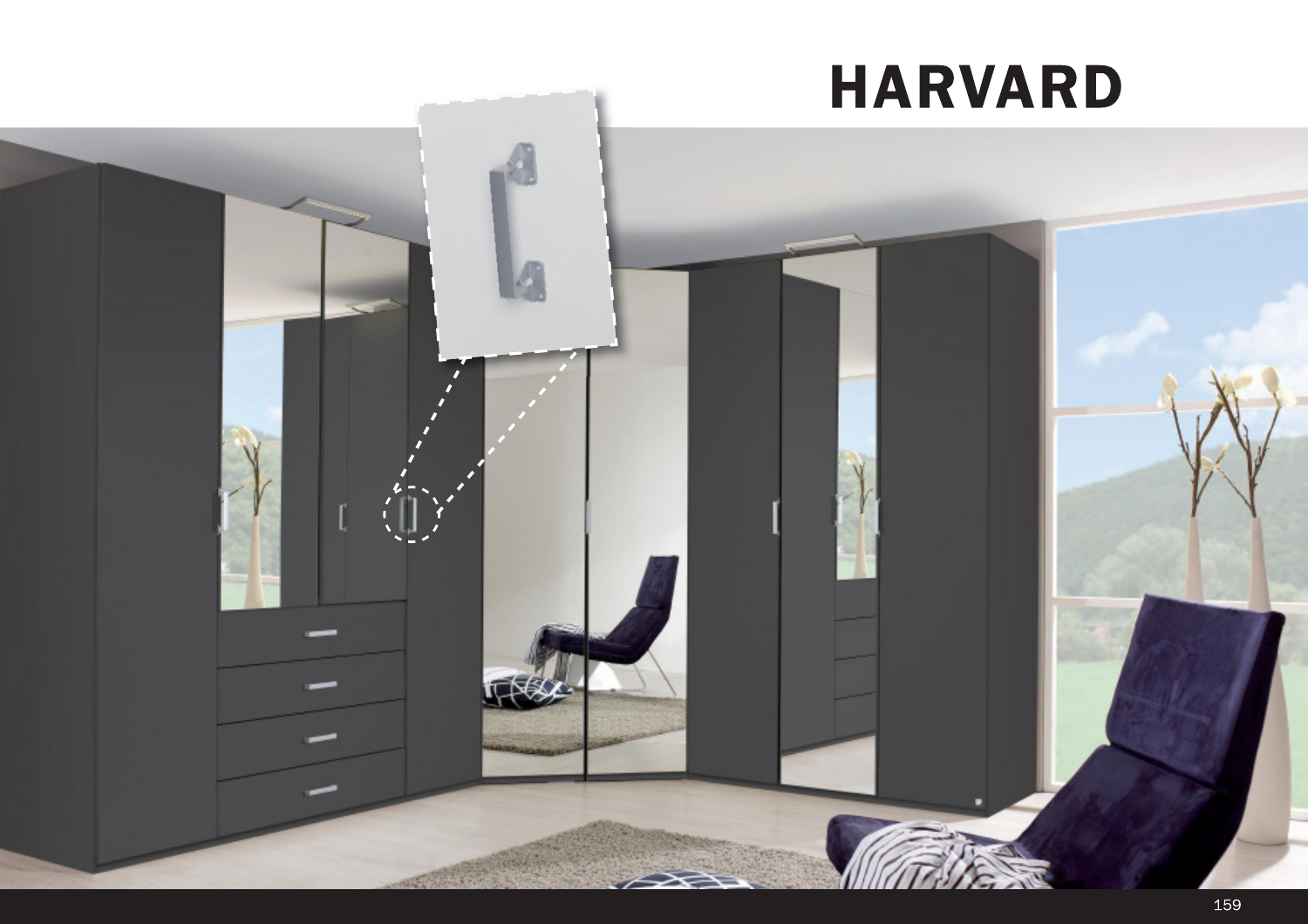## **HARVARD**

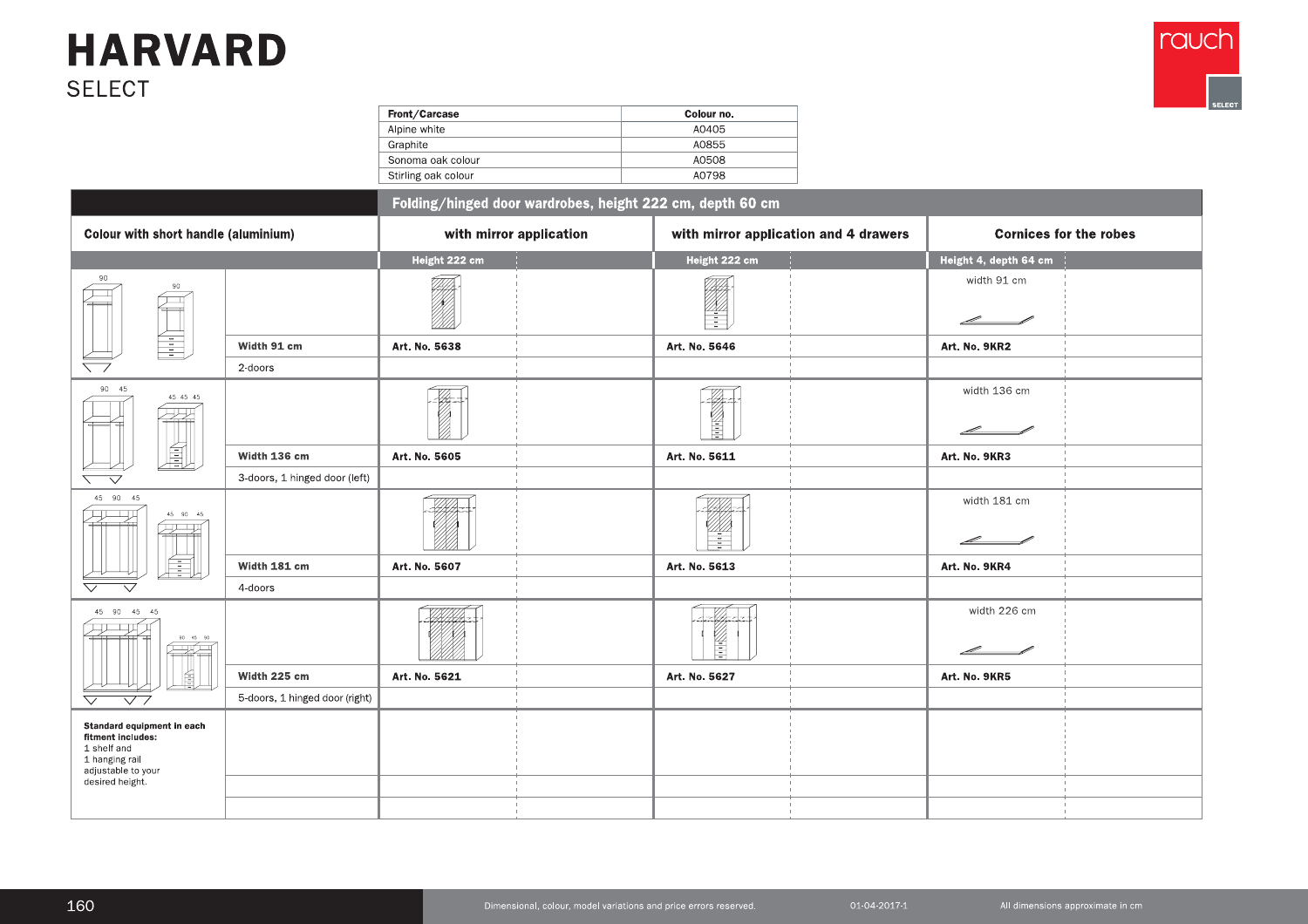

| Front/Carcase       | Colour no. |  |  |  |  |  |
|---------------------|------------|--|--|--|--|--|
| Alpine white        | A0405      |  |  |  |  |  |
| Graphite            | A0855      |  |  |  |  |  |
| Sonoma oak colour   | A0508      |  |  |  |  |  |
| Stirling oak colour | A0798      |  |  |  |  |  |

| <b>SELECT</b><br>Front/Carcase<br>Colour no.<br>A0405<br>Alpine white<br>A0855<br>Graphite<br>A0508<br>Sonoma oak colour<br>A0798<br>Stirling oak colour<br>Folding/hinged door wardrobes, height 222 cm, depth 60 cm<br>Colour with short handle (aluminium)<br>with mirror application<br>with mirror application and 4 drawers<br>Height 222 cm<br>Height 222 cm<br>Height 4, depth 64 cm<br>90<br>width 91 cm<br>e de la composición de la composición de la composición de la composición de la composición de la composición<br>La composición de la composición de la composición de la composición de la composición de la composición de la<br>90<br>Æ<br>$\leftarrow$<br>r 1<br>H<br>$\angle$<br>蛗<br>Width 91 cm<br>Art. No. 5638<br>Art. No. 5646<br>Art. No. 9KR2<br>$\overline{\phantom{0}}$<br>2-doors<br>90 45<br>width 136 cm<br>$\overline{\mathscr{L}}$<br>45 45 45<br>谻<br>VI<br>ਿਚਰਿ<br>$\mathscr{L}$<br>剭<br>Width 136 cm<br>Art. No. 5605<br>Art. No. 5611<br>Art. No. 9KR3<br>3-doors, 1 hinged door (left)<br>$\overline{\phantom{0}}$<br>$\overline{\phantom{a}}$<br>45 90 45<br>width 181 cm<br>HHA-<br>${\bf 45}$ ${\bf 90}$ ${\bf 45}$<br>22–21<br>22–22<br>÷<br>$\overline{\mathscr{L}}$ and the set of $\mathscr{L}$<br><u>fil</u><br>Width 181 cm<br>Art. No. 5613<br>Art. No. 5607<br>Art. No. 9KR4<br>$\bigtriangledown$<br>4-doors<br>$\overline{\vee}$<br>width 226 cm<br>$45\quad 90\quad 45\quad 45$<br>$-\mathscr{U}$<br>HAHAA<br>全出租<br>$\begin{picture}(120,10) \put(0,0){\line(1,0){10}} \put(15,0){\line(1,0){10}} \put(15,0){\line(1,0){10}} \put(15,0){\line(1,0){10}} \put(15,0){\line(1,0){10}} \put(15,0){\line(1,0){10}} \put(15,0){\line(1,0){10}} \put(15,0){\line(1,0){10}} \put(15,0){\line(1,0){10}} \put(15,0){\line(1,0){10}} \put(15,0){\line(1,0){10}} \put(15,0){\line($<br>Ē<br>$\overline{\mathscr{L}}$ and $\overline{\mathscr{L}}$<br>Width 225 cm<br>Art. No. 5621<br>Art. No. 5627<br>Art. No. 9KR5<br>5-doors, 1 hinged door (right)<br>$\bigtriangledown$<br>$\overline{\vee}$ |                                       | <b>HARVARD</b> |  |                               |
|---------------------------------------------------------------------------------------------------------------------------------------------------------------------------------------------------------------------------------------------------------------------------------------------------------------------------------------------------------------------------------------------------------------------------------------------------------------------------------------------------------------------------------------------------------------------------------------------------------------------------------------------------------------------------------------------------------------------------------------------------------------------------------------------------------------------------------------------------------------------------------------------------------------------------------------------------------------------------------------------------------------------------------------------------------------------------------------------------------------------------------------------------------------------------------------------------------------------------------------------------------------------------------------------------------------------------------------------------------------------------------------------------------------------------------------------------------------------------------------------------------------------------------------------------------------------------------------------------------------------------------------------------------------------------------------------------------------------------------------------------------------------------------------------------------------------------------------------------------------------------------------------------------------------------------------------------------------------------------------------------------------------------------------------------|---------------------------------------|----------------|--|-------------------------------|
|                                                                                                                                                                                                                                                                                                                                                                                                                                                                                                                                                                                                                                                                                                                                                                                                                                                                                                                                                                                                                                                                                                                                                                                                                                                                                                                                                                                                                                                                                                                                                                                                                                                                                                                                                                                                                                                                                                                                                                                                                                                   |                                       |                |  |                               |
|                                                                                                                                                                                                                                                                                                                                                                                                                                                                                                                                                                                                                                                                                                                                                                                                                                                                                                                                                                                                                                                                                                                                                                                                                                                                                                                                                                                                                                                                                                                                                                                                                                                                                                                                                                                                                                                                                                                                                                                                                                                   |                                       |                |  | <b>Cornices for the robes</b> |
|                                                                                                                                                                                                                                                                                                                                                                                                                                                                                                                                                                                                                                                                                                                                                                                                                                                                                                                                                                                                                                                                                                                                                                                                                                                                                                                                                                                                                                                                                                                                                                                                                                                                                                                                                                                                                                                                                                                                                                                                                                                   |                                       |                |  |                               |
|                                                                                                                                                                                                                                                                                                                                                                                                                                                                                                                                                                                                                                                                                                                                                                                                                                                                                                                                                                                                                                                                                                                                                                                                                                                                                                                                                                                                                                                                                                                                                                                                                                                                                                                                                                                                                                                                                                                                                                                                                                                   |                                       |                |  |                               |
|                                                                                                                                                                                                                                                                                                                                                                                                                                                                                                                                                                                                                                                                                                                                                                                                                                                                                                                                                                                                                                                                                                                                                                                                                                                                                                                                                                                                                                                                                                                                                                                                                                                                                                                                                                                                                                                                                                                                                                                                                                                   |                                       |                |  |                               |
|                                                                                                                                                                                                                                                                                                                                                                                                                                                                                                                                                                                                                                                                                                                                                                                                                                                                                                                                                                                                                                                                                                                                                                                                                                                                                                                                                                                                                                                                                                                                                                                                                                                                                                                                                                                                                                                                                                                                                                                                                                                   |                                       |                |  |                               |
|                                                                                                                                                                                                                                                                                                                                                                                                                                                                                                                                                                                                                                                                                                                                                                                                                                                                                                                                                                                                                                                                                                                                                                                                                                                                                                                                                                                                                                                                                                                                                                                                                                                                                                                                                                                                                                                                                                                                                                                                                                                   |                                       |                |  |                               |
|                                                                                                                                                                                                                                                                                                                                                                                                                                                                                                                                                                                                                                                                                                                                                                                                                                                                                                                                                                                                                                                                                                                                                                                                                                                                                                                                                                                                                                                                                                                                                                                                                                                                                                                                                                                                                                                                                                                                                                                                                                                   |                                       |                |  |                               |
|                                                                                                                                                                                                                                                                                                                                                                                                                                                                                                                                                                                                                                                                                                                                                                                                                                                                                                                                                                                                                                                                                                                                                                                                                                                                                                                                                                                                                                                                                                                                                                                                                                                                                                                                                                                                                                                                                                                                                                                                                                                   |                                       |                |  |                               |
|                                                                                                                                                                                                                                                                                                                                                                                                                                                                                                                                                                                                                                                                                                                                                                                                                                                                                                                                                                                                                                                                                                                                                                                                                                                                                                                                                                                                                                                                                                                                                                                                                                                                                                                                                                                                                                                                                                                                                                                                                                                   |                                       |                |  |                               |
|                                                                                                                                                                                                                                                                                                                                                                                                                                                                                                                                                                                                                                                                                                                                                                                                                                                                                                                                                                                                                                                                                                                                                                                                                                                                                                                                                                                                                                                                                                                                                                                                                                                                                                                                                                                                                                                                                                                                                                                                                                                   |                                       |                |  |                               |
|                                                                                                                                                                                                                                                                                                                                                                                                                                                                                                                                                                                                                                                                                                                                                                                                                                                                                                                                                                                                                                                                                                                                                                                                                                                                                                                                                                                                                                                                                                                                                                                                                                                                                                                                                                                                                                                                                                                                                                                                                                                   |                                       |                |  |                               |
|                                                                                                                                                                                                                                                                                                                                                                                                                                                                                                                                                                                                                                                                                                                                                                                                                                                                                                                                                                                                                                                                                                                                                                                                                                                                                                                                                                                                                                                                                                                                                                                                                                                                                                                                                                                                                                                                                                                                                                                                                                                   |                                       |                |  |                               |
|                                                                                                                                                                                                                                                                                                                                                                                                                                                                                                                                                                                                                                                                                                                                                                                                                                                                                                                                                                                                                                                                                                                                                                                                                                                                                                                                                                                                                                                                                                                                                                                                                                                                                                                                                                                                                                                                                                                                                                                                                                                   |                                       |                |  |                               |
| 1 shelf and                                                                                                                                                                                                                                                                                                                                                                                                                                                                                                                                                                                                                                                                                                                                                                                                                                                                                                                                                                                                                                                                                                                                                                                                                                                                                                                                                                                                                                                                                                                                                                                                                                                                                                                                                                                                                                                                                                                                                                                                                                       | adjustable to your<br>desired height. |                |  |                               |
| 1 hanging rail                                                                                                                                                                                                                                                                                                                                                                                                                                                                                                                                                                                                                                                                                                                                                                                                                                                                                                                                                                                                                                                                                                                                                                                                                                                                                                                                                                                                                                                                                                                                                                                                                                                                                                                                                                                                                                                                                                                                                                                                                                    |                                       |                |  |                               |